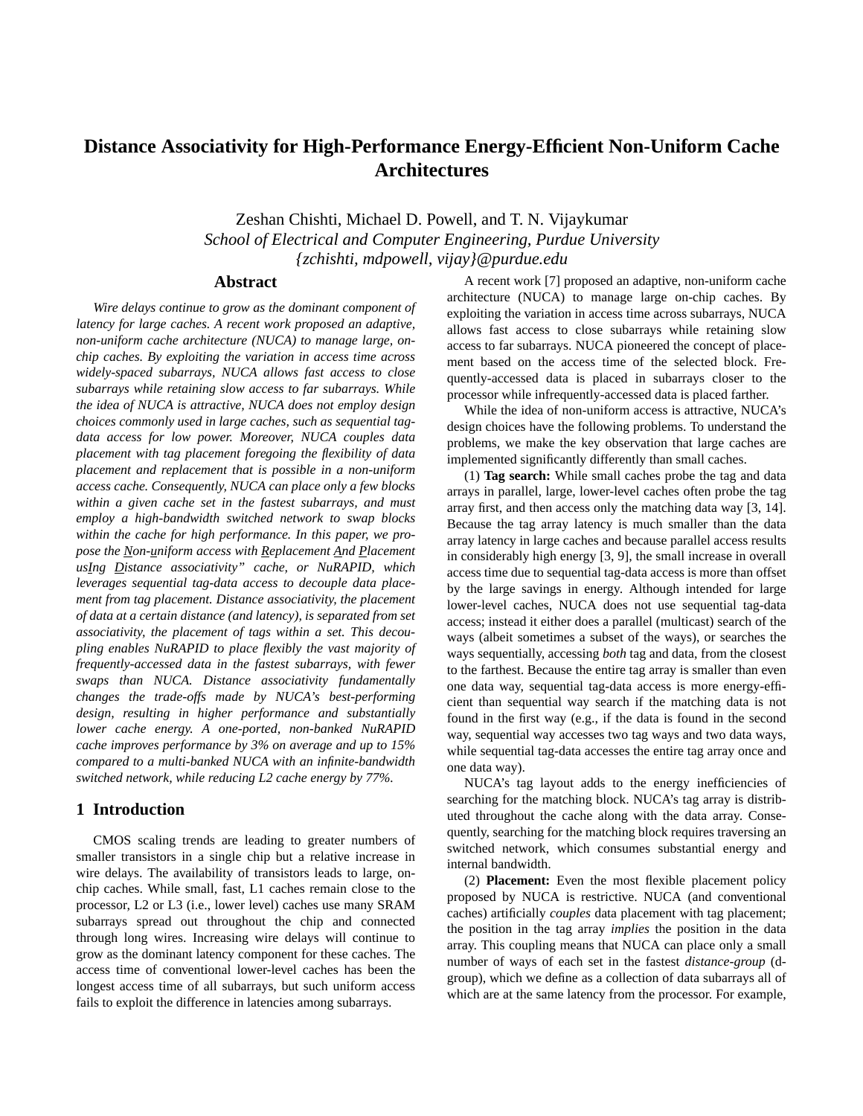# **Distance Associativity for High-Performance Energy-Efficient Non-Uniform Cache Architectures**

Zeshan Chishti, Michael D. Powell, and T. N. Vijaykumar *School of Electrical and Computer Engineering, Purdue University {zchishti, mdpowell, vijay}@purdue.edu*

## **Abstract**

*Wire delays continue to grow as the dominant component of latency for large caches. A recent work proposed an adaptive, non-uniform cache architecture (NUCA) to manage large, onchip caches. By exploiting the variation in access time across widely-spaced subarrays, NUCA allows fast access to close subarrays while retaining slow access to far subarrays. While the idea of NUCA is attractive, NUCA does not employ design choices commonly used in large caches, such as sequential tagdata access for low power. Moreover, NUCA couples data placement with tag placement foregoing the flexibility of data placement and replacement that is possible in a non-uniform access cache. Consequently, NUCA can place only a few blocks within a given cache set in the fastest subarrays, and must employ a high-bandwidth switched network to swap blocks within the cache for high performance. In this paper, we propose the Non-uniform access with Replacement And Placement usIng Distance associativity" cache, or NuRAPID, which leverages sequential tag-data access to decouple data placement from tag placement. Distance associativity, the placement of data at a certain distance (and latency), is separated from set associativity, the placement of tags within a set. This decoupling enables NuRAPID to place flexibly the vast majority of frequently-accessed data in the fastest subarrays, with fewer swaps than NUCA. Distance associativity fundamentally changes the trade-offs made by NUCA's best-performing design, resulting in higher performance and substantially lower cache energy. A one-ported, non-banked NuRAPID cache improves performance by 3% on average and up to 15% compared to a multi-banked NUCA with an infinite-bandwidth switched network, while reducing L2 cache energy by 77%.*

## <span id="page-0-0"></span>**1 Introduction**

CMOS scaling trends are leading to greater numbers of smaller transistors in a single chip but a relative increase in wire delays. The availability of transistors leads to large, onchip caches. While small, fast, L1 caches remain close to the processor, L2 or L3 (i.e., lower level) caches use many SRAM subarrays spread out throughout the chip and connected through long wires. Increasing wire delays will continue to grow as the dominant latency component for these caches. The access time of conventional lower-level caches has been the longest access time of all subarrays, but such uniform access fails to exploit the difference in latencies among subarrays.

A recent work [7] proposed an adaptive, non-uniform cache architecture (NUCA) to manage large on-chip caches. By exploiting the variation in access time across subarrays, NUCA allows fast access to close subarrays while retaining slow access to far subarrays. NUCA pioneered the concept of placement based on the access time of the selected block. Frequently-accessed data is placed in subarrays closer to the processor while infrequently-accessed data is placed farther.

While the idea of non-uniform access is attractive, NUCA's design choices have the following problems. To understand the problems, we make the key observation that large caches are implemented significantly differently than small caches.

(1) **Tag search:** While small caches probe the tag and data arrays in parallel, large, lower-level caches often probe the tag array first, and then access only the matching data way [3, 14]. Because the tag array latency is much smaller than the data array latency in large caches and because parallel access results in considerably high energy [3, 9], the small increase in overall access time due to sequential tag-data access is more than offset by the large savings in energy. Although intended for large lower-level caches, NUCA does not use sequential tag-data access; instead it either does a parallel (multicast) search of the ways (albeit sometimes a subset of the ways), or searches the ways sequentially, accessing *both* tag and data, from the closest to the farthest. Because the entire tag array is smaller than even one data way, sequential tag-data access is more energy-efficient than sequential way search if the matching data is not found in the first way (e.g., if the data is found in the second way, sequential way accesses two tag ways and two data ways, while sequential tag-data accesses the entire tag array once and one data way).

NUCA's tag layout adds to the energy inefficiencies of searching for the matching block. NUCA's tag array is distributed throughout the cache along with the data array. Consequently, searching for the matching block requires traversing an switched network, which consumes substantial energy and internal bandwidth.

(2) **Placement:** Even the most flexible placement policy proposed by NUCA is restrictive. NUCA (and conventional caches) artificially *couples* data placement with tag placement; the position in the tag array *implies* the position in the data array. This coupling means that NUCA can place only a small number of ways of each set in the fastest *distance-group* (dgroup), which we define as a collection of data subarrays all of which are at the same latency from the processor. For example,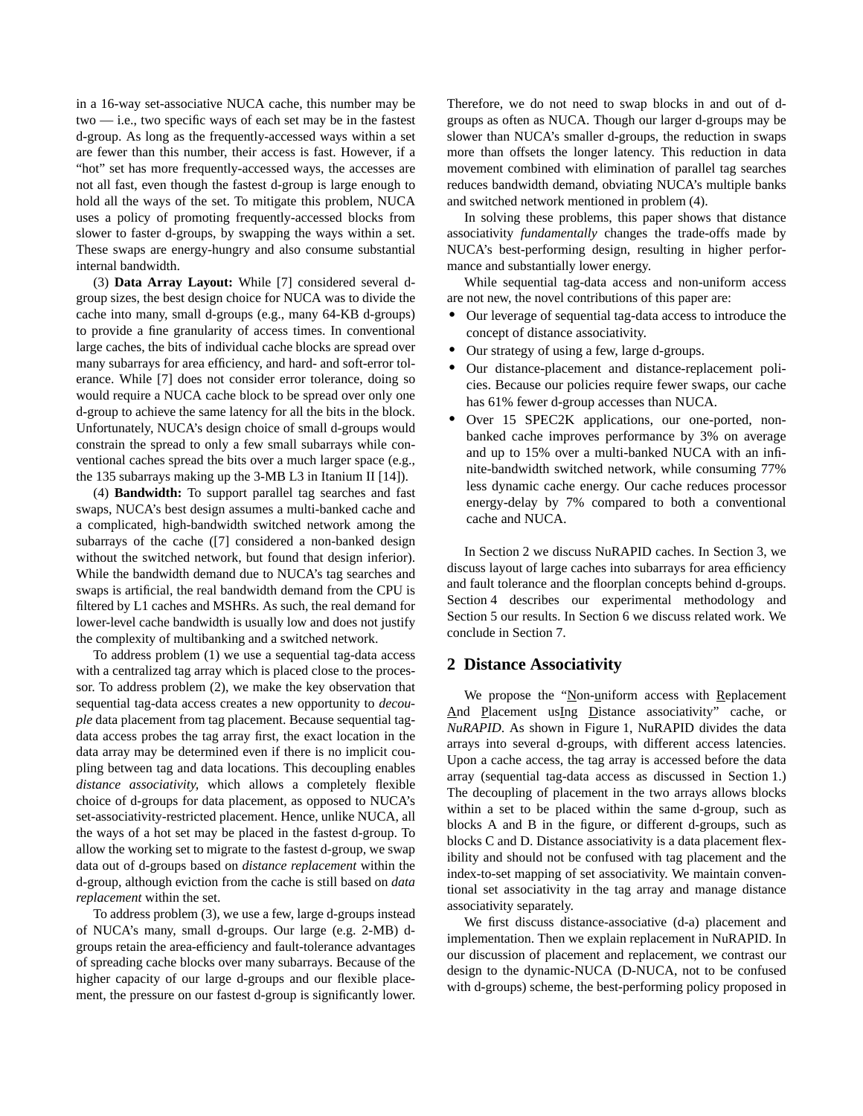in a 16-way set-associative NUCA cache, this number may be two — i.e., two specific ways of each set may be in the fastest d-group. As long as the frequently-accessed ways within a set are fewer than this number, their access is fast. However, if a "hot" set has more frequently-accessed ways, the accesses are not all fast, even though the fastest d-group is large enough to hold all the ways of the set. To mitigate this problem, NUCA uses a policy of promoting frequently-accessed blocks from slower to faster d-groups, by swapping the ways within a set. These swaps are energy-hungry and also consume substantial internal bandwidth.

(3) **Data Array Layout:** While [7] considered several dgroup sizes, the best design choice for NUCA was to divide the cache into many, small d-groups (e.g., many 64-KB d-groups) to provide a fine granularity of access times. In conventional large caches, the bits of individual cache blocks are spread over many subarrays for area efficiency, and hard- and soft-error tolerance. While [7] does not consider error tolerance, doing so would require a NUCA cache block to be spread over only one d-group to achieve the same latency for all the bits in the block. Unfortunately, NUCA's design choice of small d-groups would constrain the spread to only a few small subarrays while conventional caches spread the bits over a much larger space (e.g., the 135 subarrays making up the 3-MB L3 in Itanium II [14]).

(4) **Bandwidth:** To support parallel tag searches and fast swaps, NUCA's best design assumes a multi-banked cache and a complicated, high-bandwidth switched network among the subarrays of the cache ([7] considered a non-banked design without the switched network, but found that design inferior). While the bandwidth demand due to NUCA's tag searches and swaps is artificial, the real bandwidth demand from the CPU is filtered by L1 caches and MSHRs. As such, the real demand for lower-level cache bandwidth is usually low and does not justify the complexity of multibanking and a switched network.

To address problem (1) we use a sequential tag-data access with a centralized tag array which is placed close to the processor. To address problem (2), we make the key observation that sequential tag-data access creates a new opportunity to *decouple* data placement from tag placement. Because sequential tagdata access probes the tag array first, the exact location in the data array may be determined even if there is no implicit coupling between tag and data locations. This decoupling enables *distance associativity,* which allows a completely flexible choice of d-groups for data placement, as opposed to NUCA's set-associativity-restricted placement. Hence, unlike NUCA, all the ways of a hot set may be placed in the fastest d-group. To allow the working set to migrate to the fastest d-group, we swap data out of d-groups based on *distance replacement* within the d-group, although eviction from the cache is still based on *data replacement* within the set.

To address problem (3), we use a few, large d-groups instead of NUCA's many, small d-groups. Our large (e.g. 2-MB) dgroups retain the area-efficiency and fault-tolerance advantages of spreading cache blocks over many subarrays. Because of the higher capacity of our large d-groups and our flexible placement, the pressure on our fastest d-group is significantly lower.

Therefore, we do not need to swap blocks in and out of dgroups as often as NUCA. Though our larger d-groups may be slower than NUCA's smaller d-groups, the reduction in swaps more than offsets the longer latency. This reduction in data movement combined with elimination of parallel tag searches reduces bandwidth demand, obviating NUCA's multiple banks and switched network mentioned in problem (4).

In solving these problems, this paper shows that distance associativity *fundamentally* changes the trade-offs made by NUCA's best-performing design, resulting in higher performance and substantially lower energy.

While sequential tag-data access and non-uniform access are not new, the novel contributions of this paper are:

- **•** Our leverage of sequential tag-data access to introduce the concept of distance associativity.
- **•** Our strategy of using a few, large d-groups.
- **•** Our distance-placement and distance-replacement policies. Because our policies require fewer swaps, our cache has 61% fewer d-group accesses than NUCA.
- **•** Over 15 SPEC2K applications, our one-ported, nonbanked cache improves performance by 3% on average and up to 15% over a multi-banked NUCA with an infinite-bandwidth switched network, while consuming 77% less dynamic cache energy. Our cache reduces processor energy-delay by 7% compared to both a conventional cache and NUCA.

In [Section 2](#page-1-0) we discuss NuRAPID caches. In [Section 3,](#page-4-0) we discuss layout of large caches into subarrays for area efficiency and fault tolerance and the floorplan concepts behind d-groups. [Section 4](#page-5-0) describes our experimental methodology and [Section 5](#page-6-0) our results. In [Section 6](#page-11-0) we discuss related work. We conclude in [Section 7](#page-11-1).

## <span id="page-1-0"></span>**2 Distance Associativity**

We propose the "Non-uniform access with Replacement And Placement usIng Distance associativity" cache, or *NuRAPID*. As shown in [Figure 1,](#page-2-0) NuRAPID divides the data arrays into several d-groups, with different access latencies. Upon a cache access, the tag array is accessed before the data array (sequential tag-data access as discussed in [Section 1](#page-0-0).) The decoupling of placement in the two arrays allows blocks within a set to be placed within the same d-group, such as blocks A and B in the figure, or different d-groups, such as blocks C and D. Distance associativity is a data placement flexibility and should not be confused with tag placement and the index-to-set mapping of set associativity. We maintain conventional set associativity in the tag array and manage distance associativity separately.

We first discuss distance-associative (d-a) placement and implementation. Then we explain replacement in NuRAPID. In our discussion of placement and replacement, we contrast our design to the dynamic-NUCA (D-NUCA, not to be confused with d-groups) scheme, the best-performing policy proposed in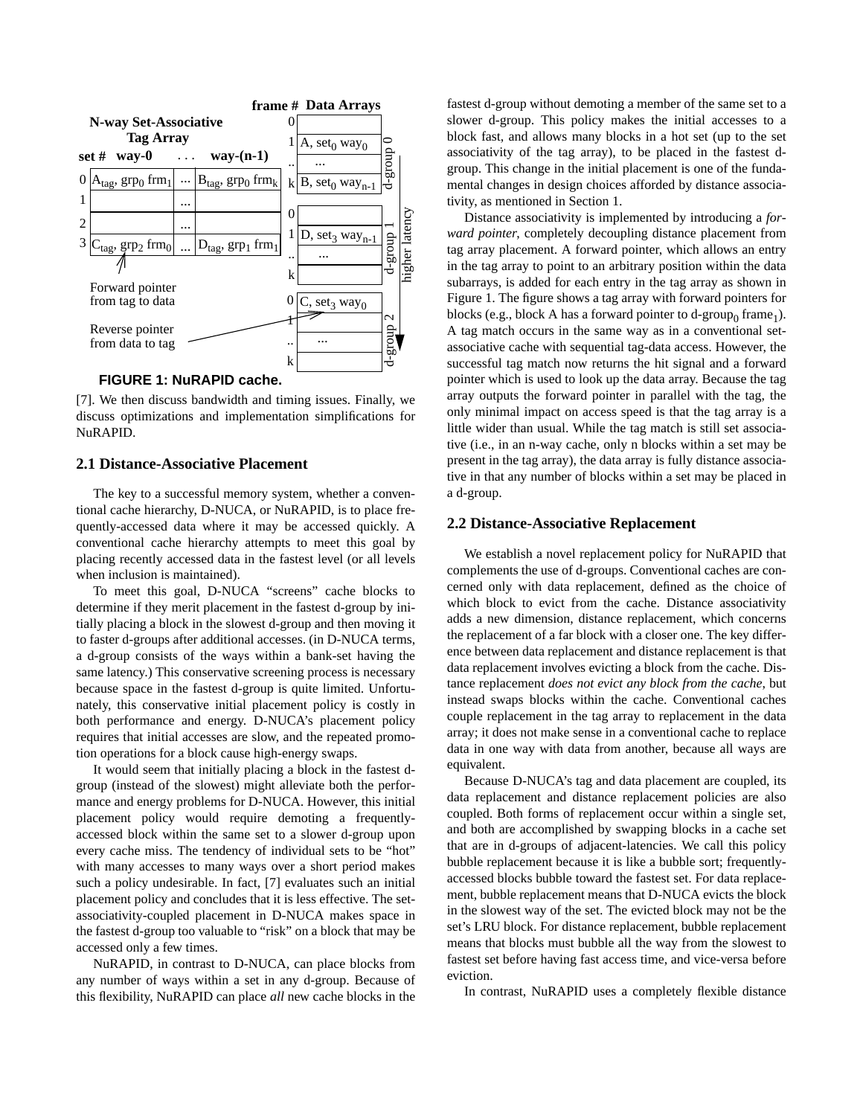

<span id="page-2-0"></span>[7]. We then discuss bandwidth and timing issues. Finally, we discuss optimizations and implementation simplifications for NuRAPID.

## <span id="page-2-1"></span>**2.1 Distance-Associative Placement**

The key to a successful memory system, whether a conventional cache hierarchy, D-NUCA, or NuRAPID, is to place frequently-accessed data where it may be accessed quickly. A conventional cache hierarchy attempts to meet this goal by placing recently accessed data in the fastest level (or all levels when inclusion is maintained).

To meet this goal, D-NUCA "screens" cache blocks to determine if they merit placement in the fastest d-group by initially placing a block in the slowest d-group and then moving it to faster d-groups after additional accesses. (in D-NUCA terms, a d-group consists of the ways within a bank-set having the same latency.) This conservative screening process is necessary because space in the fastest d-group is quite limited. Unfortunately, this conservative initial placement policy is costly in both performance and energy. D-NUCA's placement policy requires that initial accesses are slow, and the repeated promotion operations for a block cause high-energy swaps.

It would seem that initially placing a block in the fastest dgroup (instead of the slowest) might alleviate both the performance and energy problems for D-NUCA. However, this initial placement policy would require demoting a frequentlyaccessed block within the same set to a slower d-group upon every cache miss. The tendency of individual sets to be "hot" with many accesses to many ways over a short period makes such a policy undesirable. In fact, [7] evaluates such an initial placement policy and concludes that it is less effective. The setassociativity-coupled placement in D-NUCA makes space in the fastest d-group too valuable to "risk" on a block that may be accessed only a few times.

NuRAPID, in contrast to D-NUCA, can place blocks from any number of ways within a set in any d-group. Because of this flexibility, NuRAPID can place *all* new cache blocks in the fastest d-group without demoting a member of the same set to a slower d-group. This policy makes the initial accesses to a block fast, and allows many blocks in a hot set (up to the set associativity of the tag array), to be placed in the fastest dgroup. This change in the initial placement is one of the fundamental changes in design choices afforded by distance associativity, as mentioned in [Section 1](#page-0-0).

Distance associativity is implemented by introducing a *forward pointer*, completely decoupling distance placement from tag array placement. A forward pointer, which allows an entry in the tag array to point to an arbitrary position within the data subarrays, is added for each entry in the tag array as shown in [Figure 1](#page-2-0). The figure shows a tag array with forward pointers for blocks (e.g., block A has a forward pointer to d-group<sub>0</sub> frame<sub>1</sub>). A tag match occurs in the same way as in a conventional setassociative cache with sequential tag-data access. However, the successful tag match now returns the hit signal and a forward pointer which is used to look up the data array. Because the tag array outputs the forward pointer in parallel with the tag, the only minimal impact on access speed is that the tag array is a little wider than usual. While the tag match is still set associative (i.e., in an n-way cache, only n blocks within a set may be present in the tag array), the data array is fully distance associative in that any number of blocks within a set may be placed in a d-group.

### <span id="page-2-2"></span>**2.2 Distance-Associative Replacement**

We establish a novel replacement policy for NuRAPID that complements the use of d-groups. Conventional caches are concerned only with data replacement, defined as the choice of which block to evict from the cache. Distance associativity adds a new dimension, distance replacement, which concerns the replacement of a far block with a closer one. The key difference between data replacement and distance replacement is that data replacement involves evicting a block from the cache. Distance replacement *does not evict any block from the cache*, but instead swaps blocks within the cache. Conventional caches couple replacement in the tag array to replacement in the data array; it does not make sense in a conventional cache to replace data in one way with data from another, because all ways are equivalent.

Because D-NUCA's tag and data placement are coupled, its data replacement and distance replacement policies are also coupled. Both forms of replacement occur within a single set, and both are accomplished by swapping blocks in a cache set that are in d-groups of adjacent-latencies. We call this policy bubble replacement because it is like a bubble sort; frequentlyaccessed blocks bubble toward the fastest set. For data replacement, bubble replacement means that D-NUCA evicts the block in the slowest way of the set. The evicted block may not be the set's LRU block. For distance replacement, bubble replacement means that blocks must bubble all the way from the slowest to fastest set before having fast access time, and vice-versa before eviction.

In contrast, NuRAPID uses a completely flexible distance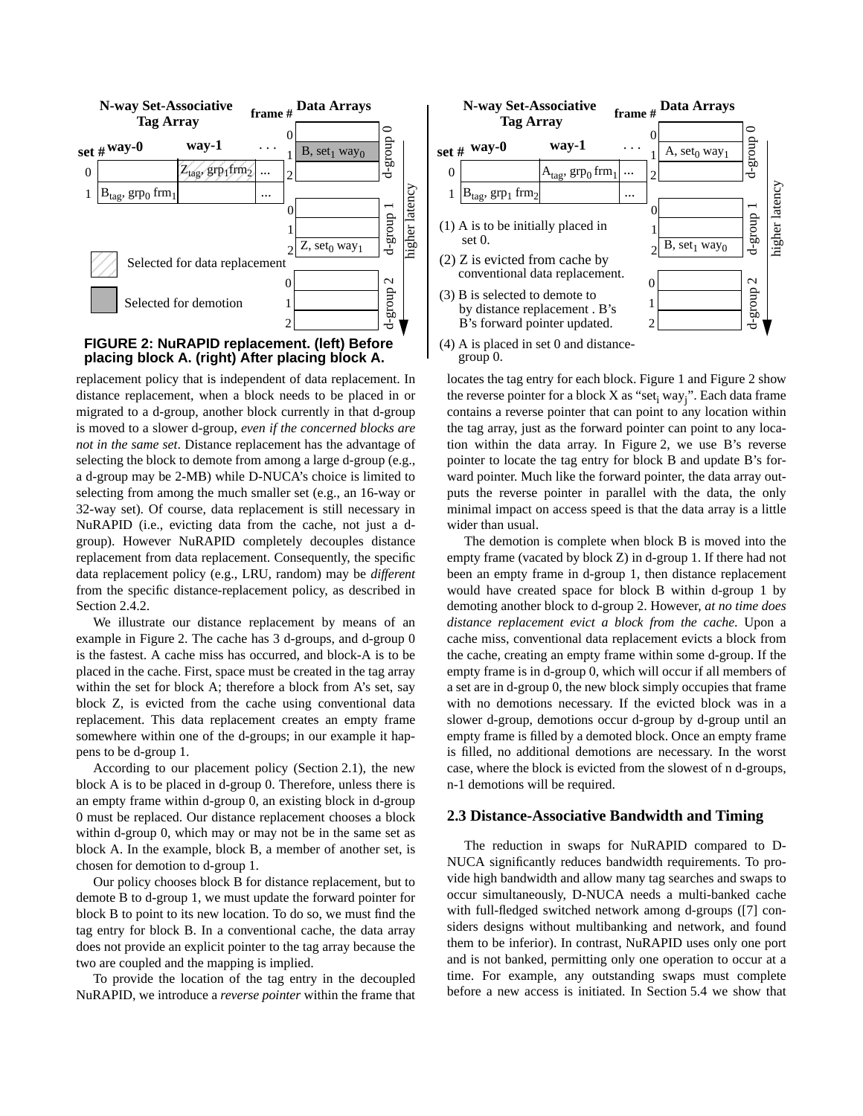

### <span id="page-3-0"></span>**FIGURE 2: NuRAPID replacement. (left) Before placing block A. (right) After placing block A.**

replacement policy that is independent of data replacement. In distance replacement, when a block needs to be placed in or migrated to a d-group, another block currently in that d-group is moved to a slower d-group, *even if the concerned blocks are not in the same set*. Distance replacement has the advantage of selecting the block to demote from among a large d-group (e.g., a d-group may be 2-MB) while D-NUCA's choice is limited to selecting from among the much smaller set (e.g., an 16-way or 32-way set). Of course, data replacement is still necessary in NuRAPID (i.e., evicting data from the cache, not just a dgroup). However NuRAPID completely decouples distance replacement from data replacement. Consequently, the specific data replacement policy (e.g., LRU, random) may be *different* from the specific distance-replacement policy, as described in [Section 2.4.2.](#page-4-1)

We illustrate our distance replacement by means of an example in [Figure 2](#page-3-0). The cache has 3 d-groups, and d-group 0 is the fastest. A cache miss has occurred, and block-A is to be placed in the cache. First, space must be created in the tag array within the set for block A; therefore a block from A's set, say block Z, is evicted from the cache using conventional data replacement. This data replacement creates an empty frame somewhere within one of the d-groups; in our example it happens to be d-group 1.

According to our placement policy ([Section 2.1](#page-2-1)), the new block A is to be placed in d-group 0. Therefore, unless there is an empty frame within d-group 0, an existing block in d-group 0 must be replaced. Our distance replacement chooses a block within d-group 0, which may or may not be in the same set as block A. In the example, block B, a member of another set, is chosen for demotion to d-group 1.

Our policy chooses block B for distance replacement, but to demote B to d-group 1, we must update the forward pointer for block B to point to its new location. To do so, we must find the tag entry for block B. In a conventional cache, the data array does not provide an explicit pointer to the tag array because the two are coupled and the mapping is implied.

To provide the location of the tag entry in the decoupled NuRAPID, we introduce a *reverse pointer* within the frame that



group 0.

locates the tag entry for each block. [Figure 1](#page-2-0) and [Figure 2](#page-3-0) show the reverse pointer for a block X as "set<sub>i</sub> way<sub>j</sub>". Each data frame contains a reverse pointer that can point to any location within the tag array, just as the forward pointer can point to any location within the data array. In [Figure 2](#page-3-0), we use B's reverse pointer to locate the tag entry for block B and update B's forward pointer. Much like the forward pointer, the data array outputs the reverse pointer in parallel with the data, the only minimal impact on access speed is that the data array is a little wider than usual.

The demotion is complete when block B is moved into the empty frame (vacated by block Z) in d-group 1. If there had not been an empty frame in d-group 1, then distance replacement would have created space for block B within d-group 1 by demoting another block to d-group 2. However, *at no time does distance replacement evict a block from the cache*. Upon a cache miss, conventional data replacement evicts a block from the cache, creating an empty frame within some d-group. If the empty frame is in d-group 0, which will occur if all members of a set are in d-group 0, the new block simply occupies that frame with no demotions necessary. If the evicted block was in a slower d-group, demotions occur d-group by d-group until an empty frame is filled by a demoted block. Once an empty frame is filled, no additional demotions are necessary. In the worst case, where the block is evicted from the slowest of n d-groups, n-1 demotions will be required.

## <span id="page-3-1"></span>**2.3 Distance-Associative Bandwidth and Timing**

The reduction in swaps for NuRAPID compared to D-NUCA significantly reduces bandwidth requirements. To provide high bandwidth and allow many tag searches and swaps to occur simultaneously, D-NUCA needs a multi-banked cache with full-fledged switched network among d-groups ([7] considers designs without multibanking and network, and found them to be inferior). In contrast, NuRAPID uses only one port and is not banked, permitting only one operation to occur at a time. For example, any outstanding swaps must complete before a new access is initiated. In [Section 5.4](#page-9-0) we show that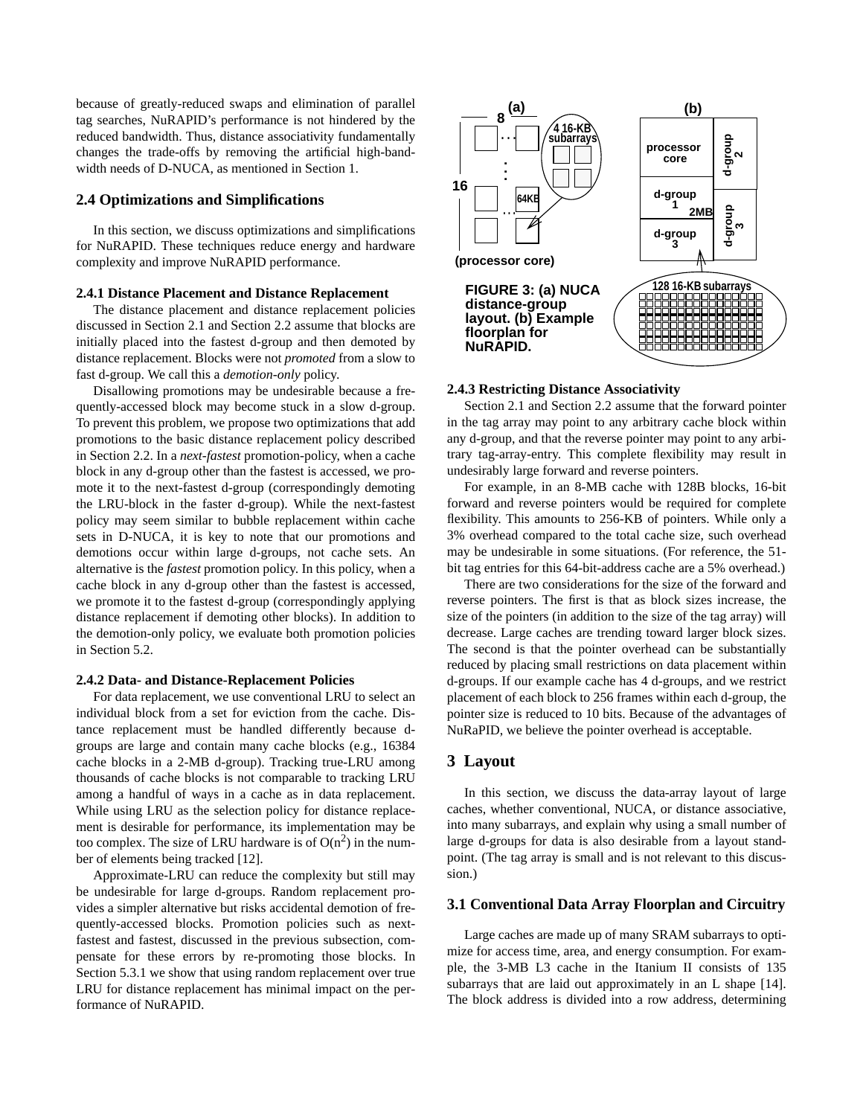because of greatly-reduced swaps and elimination of parallel tag searches, NuRAPID's performance is not hindered by the reduced bandwidth. Thus, distance associativity fundamentally changes the trade-offs by removing the artificial high-bandwidth needs of D-NUCA, as mentioned in [Section 1](#page-0-0).

## **2.4 Optimizations and Simplifications**

In this section, we discuss optimizations and simplifications for NuRAPID. These techniques reduce energy and hardware complexity and improve NuRAPID performance.

### <span id="page-4-4"></span>**2.4.1 Distance Placement and Distance Replacement**

The distance placement and distance replacement policies discussed in [Section 2.1](#page-2-1) and [Section 2.2](#page-2-2) assume that blocks are initially placed into the fastest d-group and then demoted by distance replacement. Blocks were not *promoted* from a slow to fast d-group. We call this a *demotion-only* policy.

Disallowing promotions may be undesirable because a frequently-accessed block may become stuck in a slow d-group. To prevent this problem, we propose two optimizations that add promotions to the basic distance replacement policy described in [Section 2.2](#page-2-2). In a *next-fastest* promotion-policy, when a cache block in any d-group other than the fastest is accessed, we promote it to the next-fastest d-group (correspondingly demoting the LRU-block in the faster d-group). While the next-fastest policy may seem similar to bubble replacement within cache sets in D-NUCA, it is key to note that our promotions and demotions occur within large d-groups, not cache sets. An alternative is the *fastest* promotion policy. In this policy, when a cache block in any d-group other than the fastest is accessed, we promote it to the fastest d-group (correspondingly applying distance replacement if demoting other blocks). In addition to the demotion-only policy, we evaluate both promotion policies in [Section 5.2.](#page-7-0)

#### <span id="page-4-1"></span>**2.4.2 Data- and Distance-Replacement Policies**

For data replacement, we use conventional LRU to select an individual block from a set for eviction from the cache. Distance replacement must be handled differently because dgroups are large and contain many cache blocks (e.g., 16384 cache blocks in a 2-MB d-group). Tracking true-LRU among thousands of cache blocks is not comparable to tracking LRU among a handful of ways in a cache as in data replacement. While using LRU as the selection policy for distance replacement is desirable for performance, its implementation may be too complex. The size of LRU hardware is of  $O(n^2)$  in the number of elements being tracked [12].

Approximate-LRU can reduce the complexity but still may be undesirable for large d-groups. Random replacement provides a simpler alternative but risks accidental demotion of frequently-accessed blocks. Promotion policies such as nextfastest and fastest, discussed in the previous subsection, compensate for these errors by re-promoting those blocks. In [Section 5.3.1](#page-8-0) we show that using random replacement over true LRU for distance replacement has minimal impact on the performance of NuRAPID.



### <span id="page-4-2"></span>**2.4.3 Restricting Distance Associativity**

[Section 2.1](#page-2-1) and [Section 2.2](#page-2-2) assume that the forward pointer in the tag array may point to any arbitrary cache block within any d-group, and that the reverse pointer may point to any arbitrary tag-array-entry. This complete flexibility may result in undesirably large forward and reverse pointers.

For example, in an 8-MB cache with 128B blocks, 16-bit forward and reverse pointers would be required for complete flexibility. This amounts to 256-KB of pointers. While only a 3% overhead compared to the total cache size, such overhead may be undesirable in some situations. (For reference, the 51 bit tag entries for this 64-bit-address cache are a 5% overhead.)

There are two considerations for the size of the forward and reverse pointers. The first is that as block sizes increase, the size of the pointers (in addition to the size of the tag array) will decrease. Large caches are trending toward larger block sizes. The second is that the pointer overhead can be substantially reduced by placing small restrictions on data placement within d-groups. If our example cache has 4 d-groups, and we restrict placement of each block to 256 frames within each d-group, the pointer size is reduced to 10 bits. Because of the advantages of NuRaPID, we believe the pointer overhead is acceptable.

### <span id="page-4-0"></span>**3 Layout**

In this section, we discuss the data-array layout of large caches, whether conventional, NUCA, or distance associative, into many subarrays, and explain why using a small number of large d-groups for data is also desirable from a layout standpoint. (The tag array is small and is not relevant to this discussion.)

## <span id="page-4-3"></span>**3.1 Conventional Data Array Floorplan and Circuitry**

Large caches are made up of many SRAM subarrays to optimize for access time, area, and energy consumption. For example, the 3-MB L3 cache in the Itanium II consists of 135 subarrays that are laid out approximately in an L shape [14]. The block address is divided into a row address, determining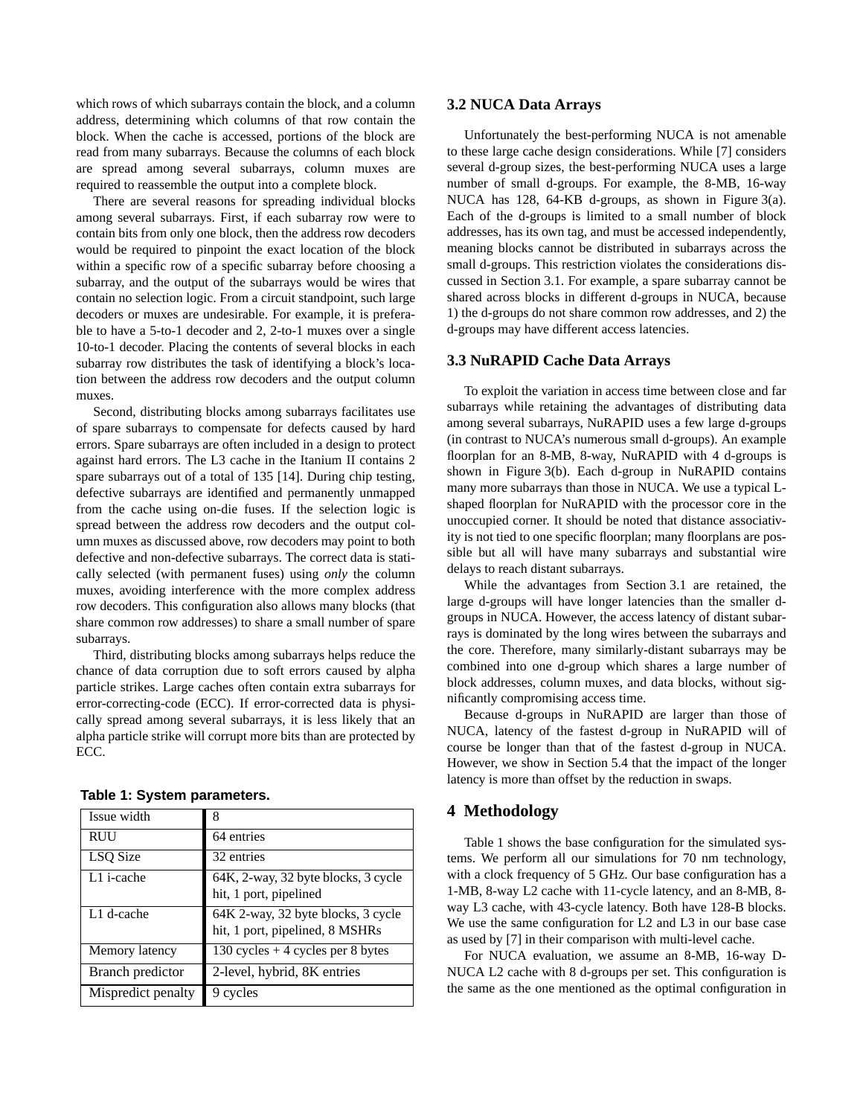which rows of which subarrays contain the block, and a column address, determining which columns of that row contain the block. When the cache is accessed, portions of the block are read from many subarrays. Because the columns of each block are spread among several subarrays, column muxes are required to reassemble the output into a complete block.

There are several reasons for spreading individual blocks among several subarrays. First, if each subarray row were to contain bits from only one block, then the address row decoders would be required to pinpoint the exact location of the block within a specific row of a specific subarray before choosing a subarray, and the output of the subarrays would be wires that contain no selection logic. From a circuit standpoint, such large decoders or muxes are undesirable. For example, it is preferable to have a 5-to-1 decoder and 2, 2-to-1 muxes over a single 10-to-1 decoder. Placing the contents of several blocks in each subarray row distributes the task of identifying a block's location between the address row decoders and the output column muxes.

Second, distributing blocks among subarrays facilitates use of spare subarrays to compensate for defects caused by hard errors. Spare subarrays are often included in a design to protect against hard errors. The L3 cache in the Itanium II contains 2 spare subarrays out of a total of 135 [14]. During chip testing, defective subarrays are identified and permanently unmapped from the cache using on-die fuses. If the selection logic is spread between the address row decoders and the output column muxes as discussed above, row decoders may point to both defective and non-defective subarrays. The correct data is statically selected (with permanent fuses) using *only* the column muxes, avoiding interference with the more complex address row decoders. This configuration also allows many blocks (that share common row addresses) to share a small number of spare subarrays.

Third, distributing blocks among subarrays helps reduce the chance of data corruption due to soft errors caused by alpha particle strikes. Large caches often contain extra subarrays for error-correcting-code (ECC). If error-corrected data is physically spread among several subarrays, it is less likely that an alpha particle strike will corrupt more bits than are protected by ECC.

| Issue width        |                                                               |
|--------------------|---------------------------------------------------------------|
| RUU                | 64 entries                                                    |
| LSQ Size           | 32 entries                                                    |
| L1 i-cache         | 64K, 2-way, 32 byte blocks, 3 cycle<br>hit, 1 port, pipelined |
|                    |                                                               |
| L1 d-cache         | 64K 2-way, 32 byte blocks, 3 cycle                            |
|                    | hit, 1 port, pipelined, 8 MSHRs                               |
| Memory latency     | $130$ cycles $+4$ cycles per 8 bytes                          |
| Branch predictor   | 2-level, hybrid, 8K entries                                   |
| Mispredict penalty | 9 cycles                                                      |

<span id="page-5-1"></span>**Table 1: System parameters.**

## **3.2 NUCA Data Arrays**

Unfortunately the best-performing NUCA is not amenable to these large cache design considerations. While [7] considers several d-group sizes, the best-performing NUCA uses a large number of small d-groups. For example, the 8-MB, 16-way NUCA has 128, 64-KB d-groups, as shown in [Figure 3](#page-4-2)(a). Each of the d-groups is limited to a small number of block addresses, has its own tag, and must be accessed independently, meaning blocks cannot be distributed in subarrays across the small d-groups. This restriction violates the considerations discussed in [Section 3.1](#page-4-3). For example, a spare subarray cannot be shared across blocks in different d-groups in NUCA, because 1) the d-groups do not share common row addresses, and 2) the d-groups may have different access latencies.

## **3.3 NuRAPID Cache Data Arrays**

To exploit the variation in access time between close and far subarrays while retaining the advantages of distributing data among several subarrays, NuRAPID uses a few large d-groups (in contrast to NUCA's numerous small d-groups). An example floorplan for an 8-MB, 8-way, NuRAPID with 4 d-groups is shown in [Figure 3](#page-4-2)(b). Each d-group in NuRAPID contains many more subarrays than those in NUCA. We use a typical Lshaped floorplan for NuRAPID with the processor core in the unoccupied corner. It should be noted that distance associativity is not tied to one specific floorplan; many floorplans are possible but all will have many subarrays and substantial wire delays to reach distant subarrays.

While the advantages from [Section 3.1](#page-4-3) are retained, the large d-groups will have longer latencies than the smaller dgroups in NUCA. However, the access latency of distant subarrays is dominated by the long wires between the subarrays and the core. Therefore, many similarly-distant subarrays may be combined into one d-group which shares a large number of block addresses, column muxes, and data blocks, without significantly compromising access time.

Because d-groups in NuRAPID are larger than those of NUCA, latency of the fastest d-group in NuRAPID will of course be longer than that of the fastest d-group in NUCA. However, we show in [Section 5.4](#page-9-0) that the impact of the longer latency is more than offset by the reduction in swaps.

## <span id="page-5-0"></span>**4 Methodology**

[Table 1](#page-5-1) shows the base configuration for the simulated systems. We perform all our simulations for 70 nm technology, with a clock frequency of 5 GHz. Our base configuration has a 1-MB, 8-way L2 cache with 11-cycle latency, and an 8-MB, 8 way L3 cache, with 43-cycle latency. Both have 128-B blocks. We use the same configuration for L2 and L3 in our base case as used by [7] in their comparison with multi-level cache.

For NUCA evaluation, we assume an 8-MB, 16-way D-NUCA L2 cache with 8 d-groups per set. This configuration is the same as the one mentioned as the optimal configuration in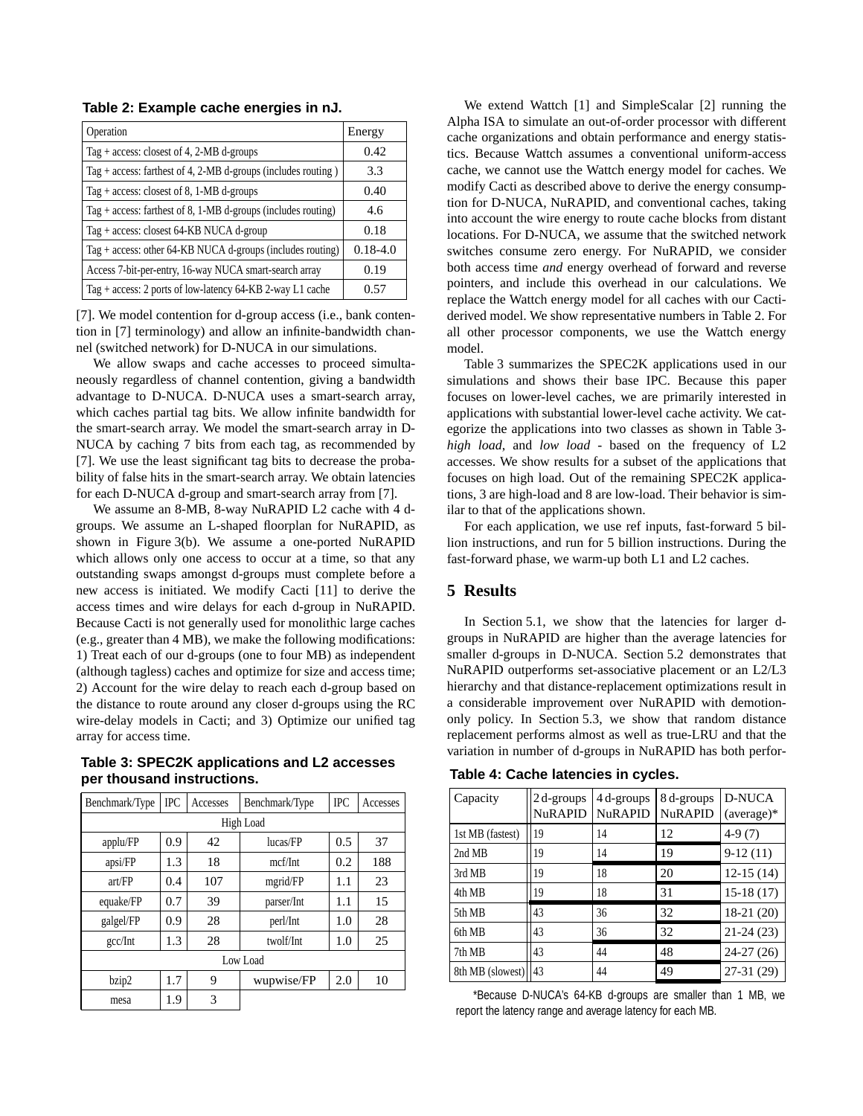| Operation                                                     | Energy       |
|---------------------------------------------------------------|--------------|
| Tag + access: closest of 4, 2-MB d-groups                     | 0.42         |
| Tag + access: farthest of 4, 2-MB d-groups (includes routing) | 3.3          |
| Tag + access: closest of 8, 1-MB d-groups                     | 0.40         |
| Tag + access: farthest of 8, 1-MB d-groups (includes routing) | 4.6          |
| Tag + access: closest 64-KB NUCA d-group                      | 0.18         |
| Tag + access: other $64$ -KB NUCA d-groups (includes routing) | $0.18 - 4.0$ |
| Access 7-bit-per-entry, 16-way NUCA smart-search array        | 0.19         |
| Tag + access: 2 ports of low-latency $64$ -KB 2-way L1 cache  | 0.57         |

<span id="page-6-1"></span>**Table 2: Example cache energies in nJ.**

[7]. We model contention for d-group access (i.e., bank contention in [7] terminology) and allow an infinite-bandwidth channel (switched network) for D-NUCA in our simulations.

We allow swaps and cache accesses to proceed simultaneously regardless of channel contention, giving a bandwidth advantage to D-NUCA. D-NUCA uses a smart-search array, which caches partial tag bits. We allow infinite bandwidth for the smart-search array. We model the smart-search array in D-NUCA by caching 7 bits from each tag, as recommended by [7]. We use the least significant tag bits to decrease the probability of false hits in the smart-search array. We obtain latencies for each D-NUCA d-group and smart-search array from [7].

We assume an 8-MB, 8-way NuRAPID L2 cache with 4 dgroups. We assume an L-shaped floorplan for NuRAPID, as shown in [Figure 3\(](#page-4-2)b). We assume a one-ported NuRAPID which allows only one access to occur at a time, so that any outstanding swaps amongst d-groups must complete before a new access is initiated. We modify Cacti [11] to derive the access times and wire delays for each d-group in NuRAPID. Because Cacti is not generally used for monolithic large caches (e.g., greater than 4 MB), we make the following modifications: 1) Treat each of our d-groups (one to four MB) as independent (although tagless) caches and optimize for size and access time; 2) Account for the wire delay to reach each d-group based on the distance to route around any closer d-groups using the RC wire-delay models in Cacti; and 3) Optimize our unified tag array for access time.

<span id="page-6-2"></span>**Table 3: SPEC2K applications and L2 accesses per thousand instructions.**

| Benchmark/Type | <b>IPC</b> | Accesses | Benchmark/Type | <b>IPC</b> | Accesses |  |
|----------------|------------|----------|----------------|------------|----------|--|
| High Load      |            |          |                |            |          |  |
| applu/FP       | 0.9        | 42       | lucas/FP       | 0.5        | 37       |  |
| apsi/FP        | 1.3        | 18       | mcf/Int        | 0.2        | 188      |  |
| art/FP         | 0.4        | 107      | mgrid/FP       | 1.1        | 23       |  |
| equake/FP      | 0.7        | 39       | parser/Int     | 1.1        | 15       |  |
| galgel/FP      | 0.9        | 28       | perl/Int       | 1.0        | 28       |  |
| $\rm gcc/Int$  | 1.3        | 28       | twolf/Int      | 1.0        | 25       |  |
| Low Load       |            |          |                |            |          |  |
| bzip2          | 1.7        | 9        | wupwise/FP     | 2.0        | 10       |  |
| mesa           | 1.9        | 3        |                |            |          |  |

We extend Wattch [1] and SimpleScalar [2] running the Alpha ISA to simulate an out-of-order processor with different cache organizations and obtain performance and energy statistics. Because Wattch assumes a conventional uniform-access cache, we cannot use the Wattch energy model for caches. We modify Cacti as described above to derive the energy consumption for D-NUCA, NuRAPID, and conventional caches, taking into account the wire energy to route cache blocks from distant locations. For D-NUCA, we assume that the switched network switches consume zero energy. For NuRAPID, we consider both access time *and* energy overhead of forward and reverse pointers, and include this overhead in our calculations. We replace the Wattch energy model for all caches with our Cactiderived model. We show representative numbers in [Table 2](#page-6-1). For all other processor components, we use the Wattch energy model.

[Table 3](#page-6-2) summarizes the SPEC2K applications used in our simulations and shows their base IPC. Because this paper focuses on lower-level caches, we are primarily interested in applications with substantial lower-level cache activity. We categorize the applications into two classes as shown in [Table 3](#page-6-2) *high load*, and *low load* - based on the frequency of L2 accesses. We show results for a subset of the applications that focuses on high load. Out of the remaining SPEC2K applications, 3 are high-load and 8 are low-load. Their behavior is similar to that of the applications shown.

For each application, we use ref inputs, fast-forward 5 billion instructions, and run for 5 billion instructions. During the fast-forward phase, we warm-up both L1 and L2 caches.

## <span id="page-6-0"></span>**5 Results**

In [Section 5.1](#page-7-1), we show that the latencies for larger dgroups in NuRAPID are higher than the average latencies for smaller d-groups in D-NUCA. [Section 5.2](#page-7-0) demonstrates that NuRAPID outperforms set-associative placement or an L2/L3 hierarchy and that distance-replacement optimizations result in a considerable improvement over NuRAPID with demotiononly policy. In [Section 5.3](#page-8-1), we show that random distance replacement performs almost as well as true-LRU and that the variation in number of d-groups in NuRAPID has both perfor-

<span id="page-6-3"></span>**Table 4: Cache latencies in cycles.**

| Capacity              | 2 d-groups<br><b>NuRAPID</b> | 4 d-groups<br><b>NuRAPID</b> | 8 d-groups<br><b>NuRAPID</b> | <b>D-NUCA</b><br>$(average)*$ |
|-----------------------|------------------------------|------------------------------|------------------------------|-------------------------------|
| 1st MB (fastest)      | 19                           | 14                           | 12                           | $4-9(7)$                      |
| 2nd MB                | 19                           | 14                           | 19                           | $9-12(11)$                    |
| 3rd MB                | 19                           | 18                           | 20                           | $12-15(14)$                   |
| 4th MB                | 19                           | 18                           | 31                           | $15-18(17)$                   |
| 5th MB                | 43                           | 36                           | 32                           | $18-21(20)$                   |
| 6th MB                | 43                           | 36                           | 32                           | $21-24(23)$                   |
| 7th MB                | 43                           | 44                           | 48                           | $24-27(26)$                   |
| 8th MB (slowest)   43 |                              | 44                           | 49                           | $27-31(29)$                   |

\*Because D-NUCA's 64-KB d-groups are smaller than 1 MB, we report the latency range and average latency for each MB.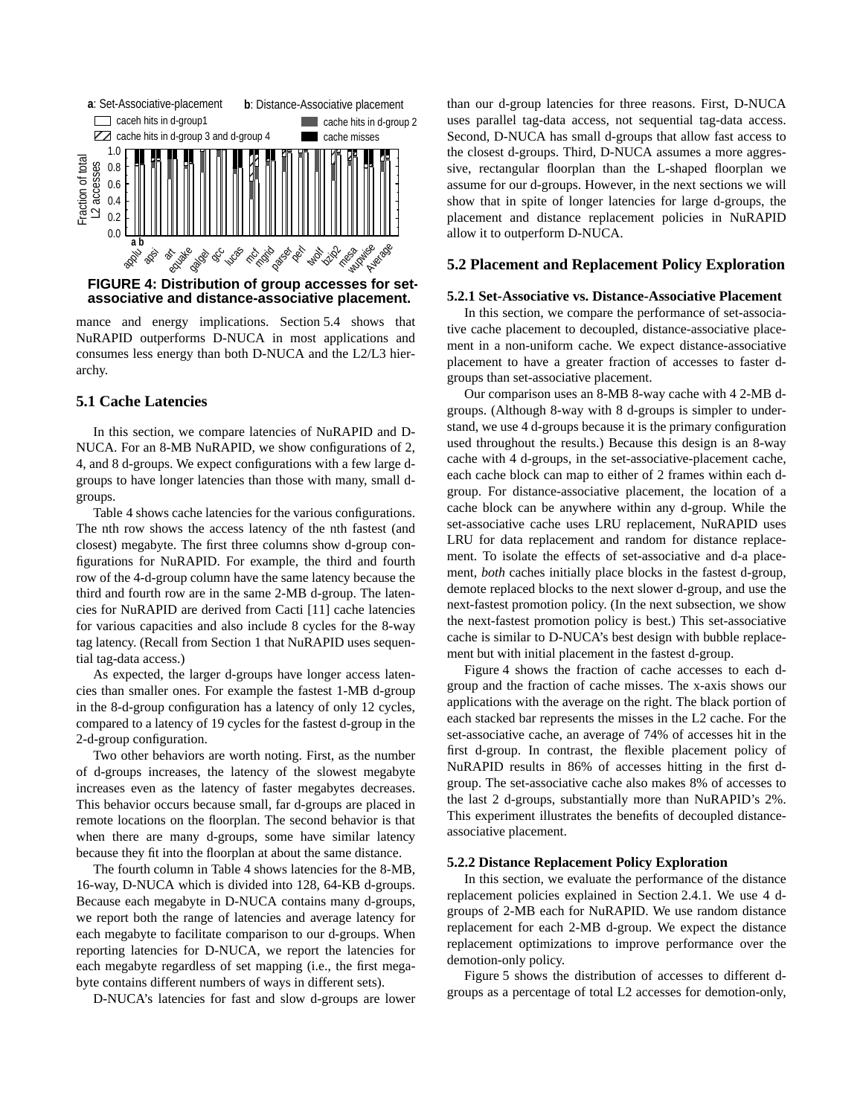

<span id="page-7-2"></span>**associative and distance-associative placement.**

mance and energy implications. [Section 5.4](#page-9-0) shows that NuRAPID outperforms D-NUCA in most applications and consumes less energy than both D-NUCA and the L2/L3 hierarchy.

## <span id="page-7-1"></span>**5.1 Cache Latencies**

In this section, we compare latencies of NuRAPID and D-NUCA. For an 8-MB NuRAPID, we show configurations of 2, 4, and 8 d-groups. We expect configurations with a few large dgroups to have longer latencies than those with many, small dgroups.

[Table 4](#page-6-3) shows cache latencies for the various configurations. The nth row shows the access latency of the nth fastest (and closest) megabyte. The first three columns show d-group configurations for NuRAPID. For example, the third and fourth row of the 4-d-group column have the same latency because the third and fourth row are in the same 2-MB d-group. The latencies for NuRAPID are derived from Cacti [11] cache latencies for various capacities and also include 8 cycles for the 8-way tag latency. (Recall from [Section 1](#page-0-0) that NuRAPID uses sequential tag-data access.)

As expected, the larger d-groups have longer access latencies than smaller ones. For example the fastest 1-MB d-group in the 8-d-group configuration has a latency of only 12 cycles, compared to a latency of 19 cycles for the fastest d-group in the 2-d-group configuration.

Two other behaviors are worth noting. First, as the number of d-groups increases, the latency of the slowest megabyte increases even as the latency of faster megabytes decreases. This behavior occurs because small, far d-groups are placed in remote locations on the floorplan. The second behavior is that when there are many d-groups, some have similar latency because they fit into the floorplan at about the same distance.

The fourth column in [Table 4](#page-6-3) shows latencies for the 8-MB, 16-way, D-NUCA which is divided into 128, 64-KB d-groups. Because each megabyte in D-NUCA contains many d-groups, we report both the range of latencies and average latency for each megabyte to facilitate comparison to our d-groups. When reporting latencies for D-NUCA, we report the latencies for each megabyte regardless of set mapping (i.e., the first megabyte contains different numbers of ways in different sets).

D-NUCA's latencies for fast and slow d-groups are lower

than our d-group latencies for three reasons. First, D-NUCA uses parallel tag-data access, not sequential tag-data access. Second, D-NUCA has small d-groups that allow fast access to the closest d-groups. Third, D-NUCA assumes a more aggressive, rectangular floorplan than the L-shaped floorplan we assume for our d-groups. However, in the next sections we will show that in spite of longer latencies for large d-groups, the placement and distance replacement policies in NuRAPID allow it to outperform D-NUCA.

## <span id="page-7-0"></span>**5.2 Placement and Replacement Policy Exploration**

#### **5.2.1 Set-Associative vs. Distance-Associative Placement**

In this section, we compare the performance of set-associative cache placement to decoupled, distance-associative placement in a non-uniform cache. We expect distance-associative placement to have a greater fraction of accesses to faster dgroups than set-associative placement.

Our comparison uses an 8-MB 8-way cache with 4 2-MB dgroups. (Although 8-way with 8 d-groups is simpler to understand, we use 4 d-groups because it is the primary configuration used throughout the results.) Because this design is an 8-way cache with 4 d-groups, in the set-associative-placement cache, each cache block can map to either of 2 frames within each dgroup. For distance-associative placement, the location of a cache block can be anywhere within any d-group. While the set-associative cache uses LRU replacement, NuRAPID uses LRU for data replacement and random for distance replacement. To isolate the effects of set-associative and d-a placement, *both* caches initially place blocks in the fastest d-group, demote replaced blocks to the next slower d-group, and use the next-fastest promotion policy. (In the next subsection, we show the next-fastest promotion policy is best.) This set-associative cache is similar to D-NUCA's best design with bubble replacement but with initial placement in the fastest d-group.

[Figure 4](#page-7-2) shows the fraction of cache accesses to each dgroup and the fraction of cache misses. The x-axis shows our applications with the average on the right. The black portion of each stacked bar represents the misses in the L2 cache. For the set-associative cache, an average of 74% of accesses hit in the first d-group. In contrast, the flexible placement policy of NuRAPID results in 86% of accesses hitting in the first dgroup. The set-associative cache also makes 8% of accesses to the last 2 d-groups, substantially more than NuRAPID's 2%. This experiment illustrates the benefits of decoupled distanceassociative placement.

#### **5.2.2 Distance Replacement Policy Exploration**

In this section, we evaluate the performance of the distance replacement policies explained in [Section 2.4.1.](#page-4-4) We use 4 dgroups of 2-MB each for NuRAPID. We use random distance replacement for each 2-MB d-group. We expect the distance replacement optimizations to improve performance over the demotion*-*only policy.

[Figure 5](#page-8-2) shows the distribution of accesses to different dgroups as a percentage of total L2 accesses for demotion-only,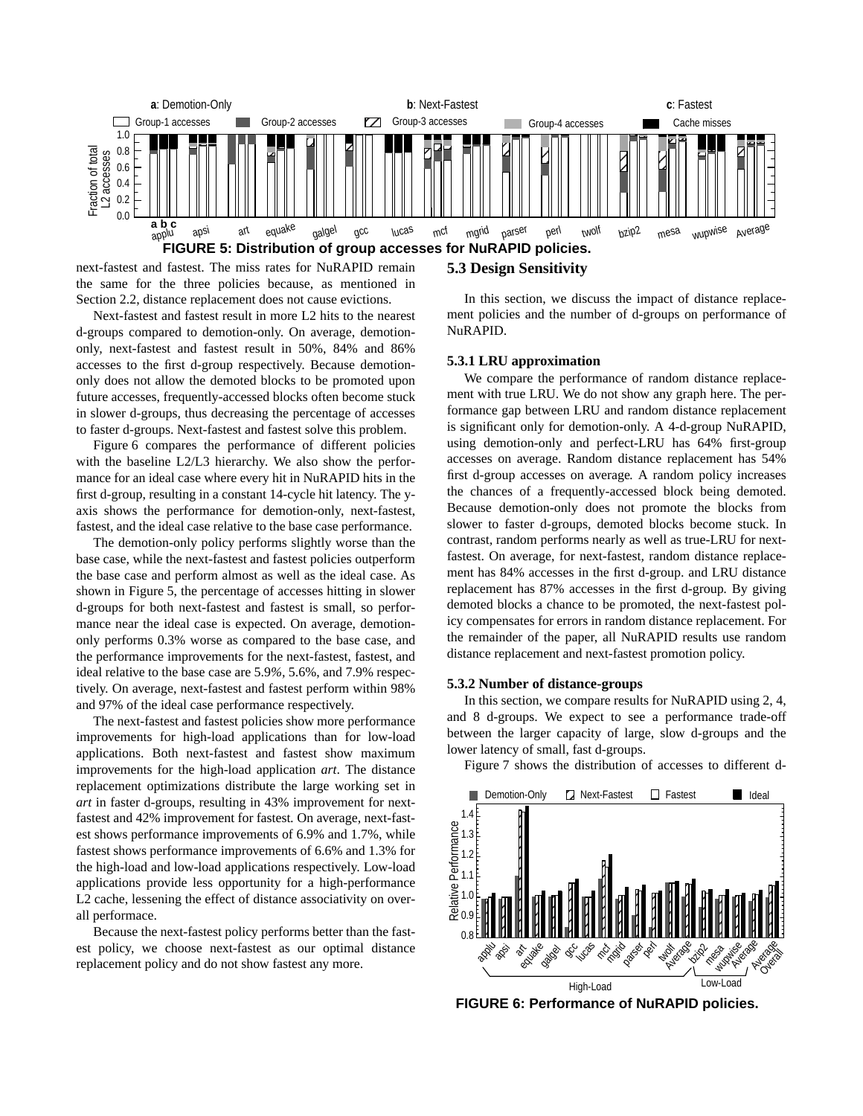

<span id="page-8-2"></span>next-fastest and fastest. The miss rates for NuRAPID remain the same for the three policies because, as mentioned in [Section 2.2,](#page-2-2) distance replacement does not cause evictions.

Next-fastest and fastest result in more L2 hits to the nearest d-groups compared to demotion-only. On average, demotiononly*,* next*-*fastest and fastest result in 50%, 84% and 86% accesses to the first d-group respectively. Because demotiononly does not allow the demoted blocks to be promoted upon future accesses, frequently-accessed blocks often become stuck in slower d-groups, thus decreasing the percentage of accesses to faster d-groups. Next-fastest and fastest solve this problem.

[Figure 6](#page-8-3) compares the performance of different policies with the baseline L2/L3 hierarchy. We also show the performance for an ideal case where every hit in NuRAPID hits in the first d-group, resulting in a constant 14-cycle hit latency. The yaxis shows the performance for demotion-only, next-fastest, fastest*,* and the ideal case relative to the base case performance.

The demotion-only policy performs slightly worse than the base case, while the next-fastest and fastest policies outperform the base case and perform almost as well as the ideal case. As shown in [Figure 5](#page-8-2), the percentage of accesses hitting in slower d-groups for both next-fastest and fastest is small*,* so performance near the ideal case is expected. On average, demotiononly performs 0.3% worse as compared to the base case, and the performance improvements for the next-fastest, fastest, and ideal relative to the base case are 5.9*%,* 5.6%, and 7.9% respectively*.* On average, next-fastest and fastest perform within 98% and 97% of the ideal case performance respectively.

The next-fastest and fastest policies show more performance improvements for high-load applications than for low-load applications. Both next-fastest and fastest show maximum improvements for the high-load application *art*. The distance replacement optimizations distribute the large working set in *art* in faster d-groups, resulting in 43% improvement for nextfastest and 42% improvement for fastest*.* On average, next-fastest shows performance improvements of 6.9% and 1.7%, while fastest shows performance improvements of 6.6% and 1.3% for the high-load and low-load applications respectively. Low-load applications provide less opportunity for a high-performance L2 cache, lessening the effect of distance associativity on overall performace.

Because the next-fastest policy performs better than the fastest policy, we choose next-fastest as our optimal distance replacement policy and do not show fastest any more.

## <span id="page-8-1"></span>**5.3 Design Sensitivity**

In this section, we discuss the impact of distance replacement policies and the number of d-groups on performance of NuRAPID.

#### <span id="page-8-0"></span>**5.3.1 LRU approximation**

We compare the performance of random distance replacement with true LRU. We do not show any graph here. The performance gap between LRU and random distance replacement is significant only for demotion-only*.* A 4-d-group NuRAPID, using demotion-only and perfect-LRU has 64% first-group accesses on average. Random distance replacement has 54% first d-group accesses on average*.* A random policy increases the chances of a frequently-accessed block being demoted. Because demotion-only does not promote the blocks from slower to faster d-groups, demoted blocks become stuck. In contrast*,* random performs nearly as well as true-LRU for nextfastest. On average, for next-fastest*,* random distance replacement has 84% accesses in the first d-group. and LRU distance replacement has 87% accesses in the first d-group*.* By giving demoted blocks a chance to be promoted, the next-fastest policy compensates for errors in random distance replacement. For the remainder of the paper, all NuRAPID results use random distance replacement and next-fastest promotion policy.

### <span id="page-8-4"></span>**5.3.2 Number of distance-groups**

In this section, we compare results for NuRAPID using 2, 4, and 8 d-groups. We expect to see a performance trade-off between the larger capacity of large, slow d-groups and the lower latency of small, fast d-groups.

[Figure 7](#page-9-1) shows the distribution of accesses to different d-



<span id="page-8-3"></span>**FIGURE 6: Performance of NuRAPID policies.**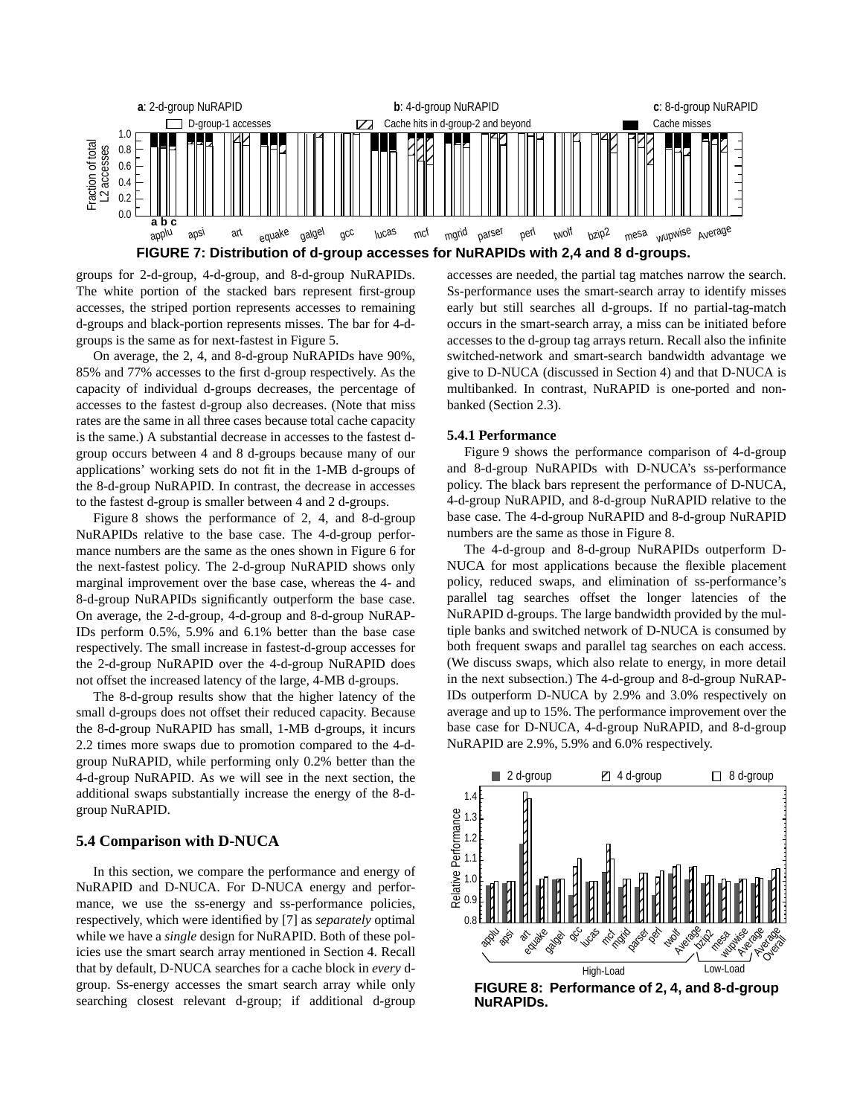

<span id="page-9-1"></span>groups for 2-d-group, 4-d-group, and 8-d-group NuRAPIDs. The white portion of the stacked bars represent first-group accesses, the striped portion represents accesses to remaining d-groups and black-portion represents misses. The bar for 4-dgroups is the same as for next-fastest in [Figure 5](#page-8-2).

On average, the 2, 4, and 8-d-group NuRAPIDs have 90%, 85% and 77% accesses to the first d-group respectively. As the capacity of individual d-groups decreases, the percentage of accesses to the fastest d-group also decreases. (Note that miss rates are the same in all three cases because total cache capacity is the same.) A substantial decrease in accesses to the fastest dgroup occurs between 4 and 8 d-groups because many of our applications' working sets do not fit in the 1-MB d-groups of the 8-d-group NuRAPID. In contrast, the decrease in accesses to the fastest d-group is smaller between 4 and 2 d-groups.

[Figure 8](#page-9-2) shows the performance of 2, 4, and 8-d-group NuRAPIDs relative to the base case. The 4-d-group performance numbers are the same as the ones shown in [Figure 6](#page-8-3) for the next-fastest policy. The 2-d-group NuRAPID shows only marginal improvement over the base case, whereas the 4- and 8-d-group NuRAPIDs significantly outperform the base case. On average, the 2-d-group, 4-d-group and 8-d-group NuRAP-IDs perform 0.5%, 5.9% and 6.1% better than the base case respectively. The small increase in fastest-d-group accesses for the 2-d-group NuRAPID over the 4-d-group NuRAPID does not offset the increased latency of the large, 4-MB d-groups.

The 8-d-group results show that the higher latency of the small d-groups does not offset their reduced capacity. Because the 8-d-group NuRAPID has small, 1-MB d-groups, it incurs 2.2 times more swaps due to promotion compared to the 4-dgroup NuRAPID, while performing only 0.2% better than the 4-d-group NuRAPID. As we will see in the next section, the additional swaps substantially increase the energy of the 8-dgroup NuRAPID.

## <span id="page-9-0"></span>**5.4 Comparison with D-NUCA**

In this section, we compare the performance and energy of NuRAPID and D-NUCA. For D-NUCA energy and performance, we use the ss-energy and ss-performance policies, respectively, which were identified by [7] as *separately* optimal while we have a *single* design for NuRAPID. Both of these policies use the smart search array mentioned in [Section 4](#page-5-0). Recall that by default, D-NUCA searches for a cache block in *every* dgroup. Ss-energy accesses the smart search array while only searching closest relevant d-group; if additional d-group

accesses are needed, the partial tag matches narrow the search. Ss-performance uses the smart-search array to identify misses early but still searches all d-groups. If no partial-tag-match occurs in the smart-search array, a miss can be initiated before accesses to the d-group tag arrays return. Recall also the infinite switched-network and smart-search bandwidth advantage we give to D-NUCA (discussed in [Section 4](#page-5-0)) and that D-NUCA is multibanked. In contrast, NuRAPID is one-ported and nonbanked [\(Section 2.3\)](#page-3-1).

### **5.4.1 Performance**

[Figure 9](#page-10-0) shows the performance comparison of 4-d-group and 8-d-group NuRAPIDs with D-NUCA's ss-performance policy. The black bars represent the performance of D-NUCA, 4-d-group NuRAPID, and 8-d-group NuRAPID relative to the base case. The 4-d-group NuRAPID and 8-d-group NuRAPID numbers are the same as those in [Figure 8.](#page-9-2)

The 4-d-group and 8-d-group NuRAPIDs outperform D-NUCA for most applications because the flexible placement policy, reduced swaps, and elimination of ss-performance's parallel tag searches offset the longer latencies of the NuRAPID d-groups. The large bandwidth provided by the multiple banks and switched network of D-NUCA is consumed by both frequent swaps and parallel tag searches on each access. (We discuss swaps, which also relate to energy, in more detail in the next subsection.) The 4-d-group and 8-d-group NuRAP-IDs outperform D-NUCA by 2.9% and 3.0% respectively on average and up to 15%. The performance improvement over the base case for D-NUCA, 4-d-group NuRAPID, and 8-d-group NuRAPID are 2.9%, 5.9% and 6.0% respectively.

<span id="page-9-2"></span>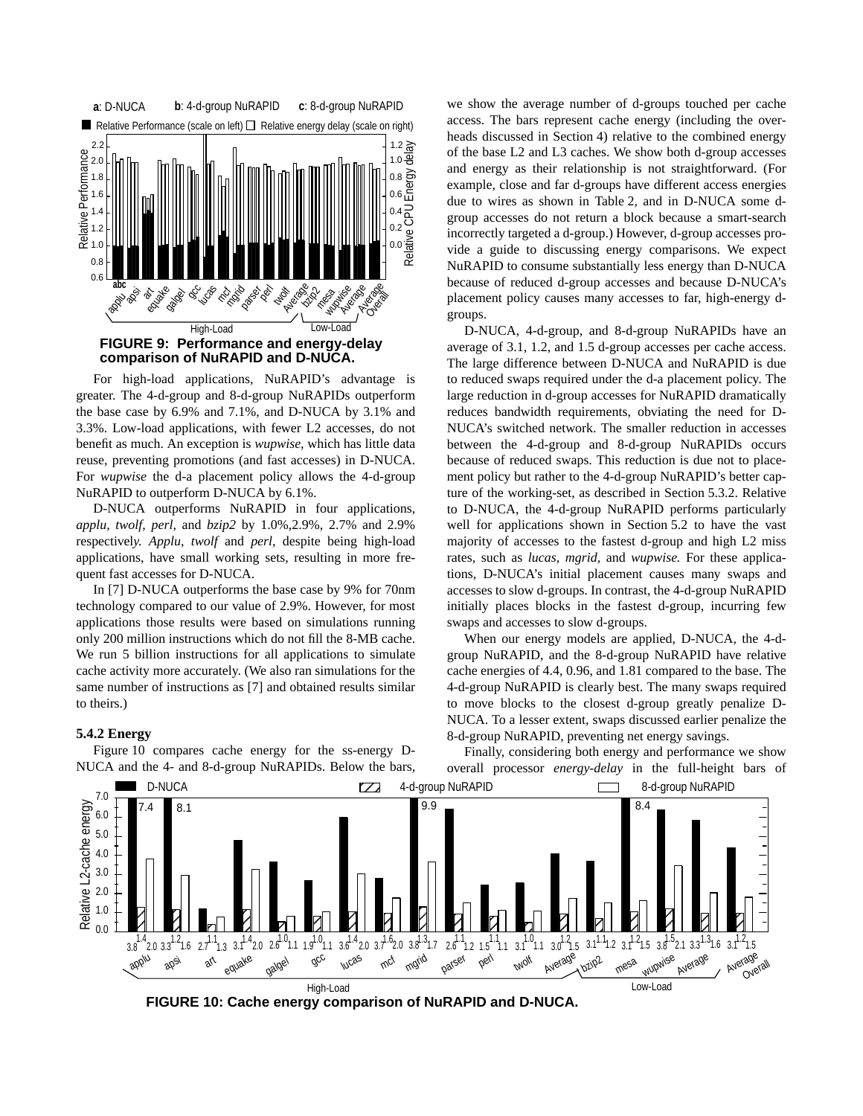

<span id="page-10-0"></span>For high-load applications, NuRAPID's advantage is greater. The 4-d-group and 8-d-group NuRAPIDs outperform the base case by 6.9% and 7.1%, and D-NUCA by 3.1% and 3.3%. Low-load applications, with fewer L2 accesses, do not benefit as much. An exception is *wupwise,* which has little data reuse, preventing promotions (and fast accesses) in D-NUCA. For *wupwise* the d-a placement policy allows the 4-d-group NuRAPID to outperform D-NUCA by 6.1%.

D-NUCA outperforms NuRAPID in four applications, *applu, twolf*, *perl,* and *bzip2* by 1.0%,2.9%, 2.7% and 2.9% respectivel*y. Applu, twolf* and *perl*, despite being high-load applications, have small working sets, resulting in more frequent fast accesses for D-NUCA.

In [7] D-NUCA outperforms the base case by 9% for 70nm technology compared to our value of 2.9%. However, for most applications those results were based on simulations running only 200 million instructions which do not fill the 8-MB cache. We run 5 billion instructions for all applications to simulate cache activity more accurately. (We also ran simulations for the same number of instructions as [7] and obtained results similar to theirs.)

### **5.4.2 Energy**

[Figure 10](#page-10-1) compares cache energy for the ss-energy D-NUCA and the 4- and 8-d-group NuRAPIDs. Below the bars,

we show the average number of d-groups touched per cache access. The bars represent cache energy (including the overheads discussed in [Section 4](#page-5-0)) relative to the combined energy of the base L2 and L3 caches. We show both d-group accesses and energy as their relationship is not straightforward. (For example, close and far d-groups have different access energies due to wires as shown in [Table 2](#page-6-1), and in D-NUCA some dgroup accesses do not return a block because a smart-search incorrectly targeted a d-group.) However, d-group accesses provide a guide to discussing energy comparisons. We expect NuRAPID to consume substantially less energy than D-NUCA because of reduced d-group accesses and because D-NUCA's placement policy causes many accesses to far, high-energy dgroups.

D-NUCA, 4-d-group, and 8-d-group NuRAPIDs have an average of 3.1, 1.2, and 1.5 d-group accesses per cache access. The large difference between D-NUCA and NuRAPID is due to reduced swaps required under the d-a placement policy. The large reduction in d-group accesses for NuRAPID dramatically reduces bandwidth requirements, obviating the need for D-NUCA's switched network. The smaller reduction in accesses between the 4-d-group and 8-d-group NuRAPIDs occurs because of reduced swaps. This reduction is due not to placement policy but rather to the 4-d-group NuRAPID's better capture of the working-set, as described in [Section 5.3.2](#page-8-4). Relative to D-NUCA, the 4-d-group NuRAPID performs particularly well for applications shown in [Section 5.2](#page-7-0) to have the vast majority of accesses to the fastest d-group and high L2 miss rates, such as *lucas, mgrid,* and *wupwise.* For these applications, D-NUCA's initial placement causes many swaps and accesses to slow d-groups. In contrast, the 4-d-group NuRAPID initially places blocks in the fastest d-group, incurring few swaps and accesses to slow d-groups.

When our energy models are applied, D-NUCA, the 4-dgroup NuRAPID, and the 8-d-group NuRAPID have relative cache energies of 4.4, 0.96, and 1.81 compared to the base. The 4-d-group NuRAPID is clearly best. The many swaps required to move blocks to the closest d-group greatly penalize D-NUCA. To a lesser extent, swaps discussed earlier penalize the 8-d-group NuRAPID, preventing net energy savings. Finally, considering both energy and performance we show



<span id="page-10-1"></span>**FIGURE 10: Cache energy comparison of NuRAPID and D-NUCA.**